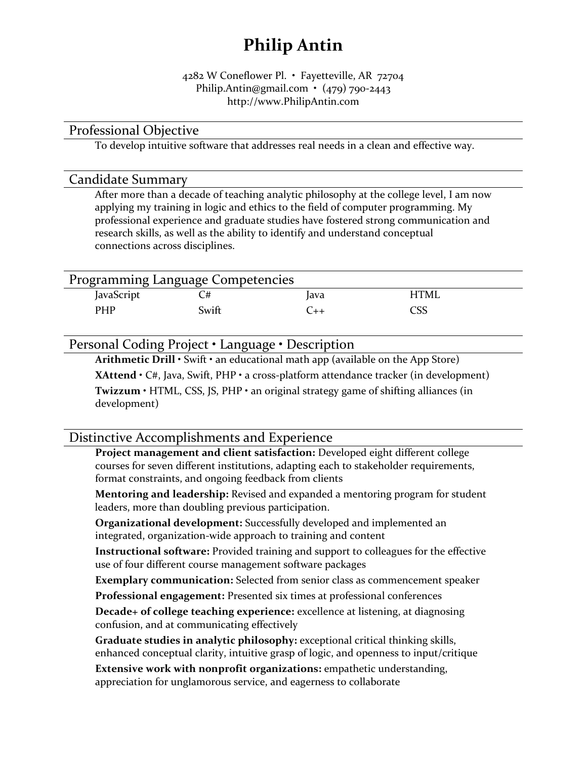## Philip Antin

#### 4282 W Coneflower Pl. • Fayetteville, AR 72704 Philip.Antin@gmail.com • (479) 790-2443 http://www.PhilipAntin.com

#### Professional Objective

To develop intuitive software that addresses real needs in a clean and effective way.

#### Candidate Summary

After more than a decade of teaching analytic philosophy at the college level, I am now applying my training in logic and ethics to the field of computer programming. My professional experience and graduate studies have fostered strong communication and research skills, as well as the ability to identify and understand conceptual connections across disciplines.

| Programming Language Competencies |       |      |      |  |  |
|-----------------------------------|-------|------|------|--|--|
| JavaScript                        |       | lava | HTMI |  |  |
| <b>PHP</b>                        | Swift |      | CSS  |  |  |

Personal Coding Project • Language • Description

Arithmetic Drill • Swift • an educational math app (available on the App Store)

XAttend • C#, Java, Swift, PHP • a cross-platform attendance tracker (in development)

Twizzum • HTML, CSS, JS, PHP • an original strategy game of shifting alliances (in development)

### Distinctive Accomplishments and Experience

Project management and client satisfaction: Developed eight different college courses for seven different institutions, adapting each to stakeholder requirements, format constraints, and ongoing feedback from clients

Mentoring and leadership: Revised and expanded a mentoring program for student leaders, more than doubling previous participation.

Organizational development: Successfully developed and implemented an integrated, organization-wide approach to training and content

Instructional software: Provided training and support to colleagues for the effective use of four different course management software packages

Exemplary communication: Selected from senior class as commencement speaker

Professional engagement: Presented six times at professional conferences

Decade+ of college teaching experience: excellence at listening, at diagnosing confusion, and at communicating effectively

Graduate studies in analytic philosophy: exceptional critical thinking skills, enhanced conceptual clarity, intuitive grasp of logic, and openness to input/critique

Extensive work with nonprofit organizations: empathetic understanding, appreciation for unglamorous service, and eagerness to collaborate